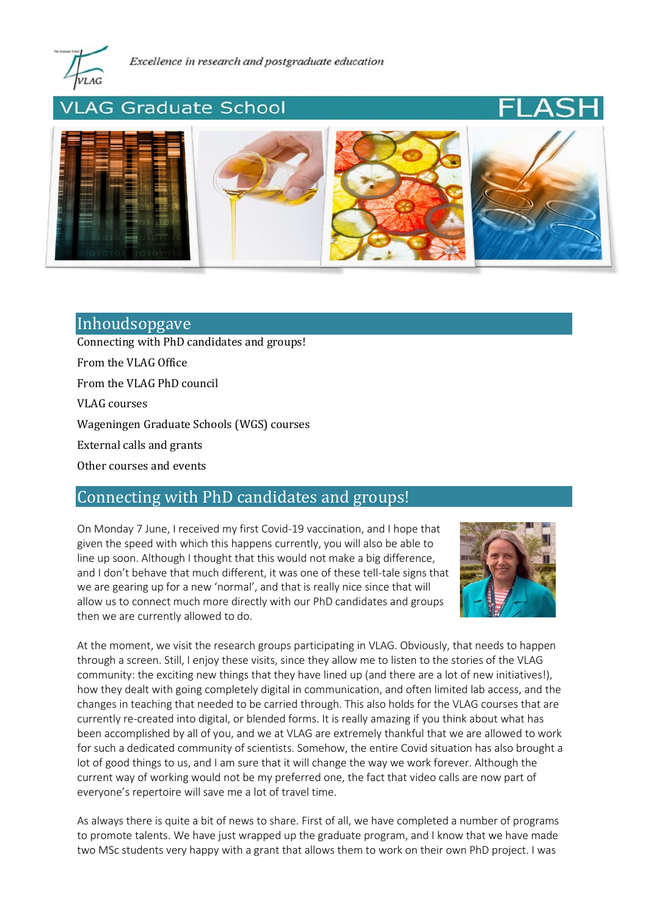

# LAG Graduate School





# Inhoudsopgave

[Connecting with PhD candidates and groups!](#page-0-0)

[From the VLAG Office](#page-1-0)

[From the VLAG PhD council](#page-2-0)

[VLAG courses](#page-2-1)

[Wageningen Graduate Schools \(WGS\) courses](#page-3-0)

External calls and grants

[Other courses and events](#page-3-1)

# <span id="page-0-0"></span>Connecting with PhD candidates and groups!

On Monday 7 June, I received my first Covid-19 vaccination, and I hope that given the speed with which this happens currently, you will also be able to line up soon. Although I thought that this would not make a big difference, and I don't behave that much different, it was one of these tell-tale signs that we are gearing up for a new 'normal', and that is really nice since that will allow us to connect much more directly with our PhD candidates and groups then we are currently allowed to do.



At the moment, we visit the research groups participating in VLAG. Obviously, that needs to happen through a screen. Still, I enjoy these visits, since they allow me to listen to the stories of the VLAG community: the exciting new things that they have lined up (and there are a lot of new initiatives!), how they dealt with going completely digital in communication, and often limited lab access, and the changes in teaching that needed to be carried through. This also holds for the VLAG courses that are currently re-created into digital, or blended forms. It is really amazing if you think about what has been accomplished by all of you, and we at VLAG are extremely thankful that we are allowed to work for such a dedicated community of scientists. Somehow, the entire Covid situation has also brought a lot of good things to us, and I am sure that it will change the way we work forever. Although the current way of working would not be my preferred one, the fact that video calls are now part of everyone's repertoire will save me a lot of travel time.

As always there is quite a bit of news to share. First of all, we have completed a number of programs to promote talents. We have just wrapped up the graduate program, and I know that we have made two MSc students very happy with a grant that allows them to work on their own PhD project. I was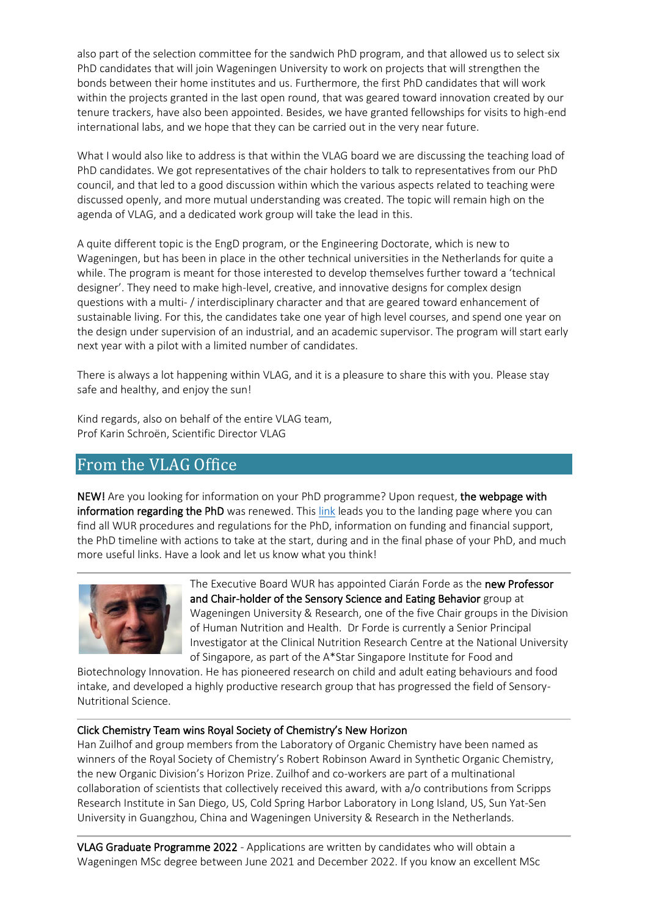also part of the selection committee for the sandwich PhD program, and that allowed us to select six PhD candidates that will join Wageningen University to work on projects that will strengthen the bonds between their home institutes and us. Furthermore, the first PhD candidates that will work within the projects granted in the last open round, that was geared toward innovation created by our tenure trackers, have also been appointed. Besides, we have granted fellowships for visits to high-end international labs, and we hope that they can be carried out in the very near future.

What I would also like to address is that within the VLAG board we are discussing the teaching load of PhD candidates. We got representatives of the chair holders to talk to representatives from our PhD council, and that led to a good discussion within which the various aspects related to teaching were discussed openly, and more mutual understanding was created. The topic will remain high on the agenda of VLAG, and a dedicated work group will take the lead in this.

A quite different topic is the EngD program, or the Engineering Doctorate, which is new to Wageningen, but has been in place in the other technical universities in the Netherlands for quite a while. The program is meant for those interested to develop themselves further toward a 'technical designer'. They need to make high-level, creative, and innovative designs for complex design questions with a multi- / interdisciplinary character and that are geared toward enhancement of sustainable living. For this, the candidates take one year of high level courses, and spend one year on the design under supervision of an industrial, and an academic supervisor. The program will start early next year with a pilot with a limited number of candidates.

There is always a lot happening within VLAG, and it is a pleasure to share this with you. Please stay safe and healthy, and enjoy the sun!

Kind regards, also on behalf of the entire VLAG team, Prof Karin Schroën, Scientific Director VLAG

# <span id="page-1-0"></span>From the VLAG Office

NEW! Are you looking for information on your PhD programme? Upon request, the webpage with information regarding the PhD was renewed. Thi[s link](https://www.wur.nl/en/Education-Programmes/PhD-Programme.htm) leads you to the landing page where you can find all WUR procedures and regulations for the PhD, information on funding and financial support, the PhD timeline with actions to take at the start, during and in the final phase of your PhD, and much more useful links. Have a look and let us know what you think!



The Executive Board WUR has appointed Ciarán Forde as the new Professor and Chair-holder of the Sensory Science and Eating Behavior group at Wageningen University & Research, one of the five Chair groups in the Division of Human Nutrition and Health. Dr Forde is currently a Senior Principal Investigator at the Clinical Nutrition Research Centre at the National University of Singapore, as part of the A\*Star Singapore Institute for Food and

Biotechnology Innovation. He has pioneered research on child and adult eating behaviours and food intake, and developed a highly productive research group that has progressed the field of Sensory-Nutritional Science.

## Click Chemistry Team wins Royal Society of Chemistry's New Horizon

Han Zuilhof and group members from the Laboratory of Organic Chemistry have been named as winners of the Royal Society of Chemistry's Robert Robinson Award in Synthetic Organic Chemistry, the new Organic Division's Horizon Prize. Zuilhof and co-workers are part of a multinational collaboration of scientists that collectively received this award, with a/o contributions from Scripps Research Institute in San Diego, US, Cold Spring Harbor Laboratory in Long Island, US, Sun Yat-Sen University in Guangzhou, China and Wageningen University & Research in the Netherlands.

VLAG Graduate Programme 2022 - Applications are written by candidates who will obtain a Wageningen MSc degree between June 2021 and December 2022. If you know an excellent MSc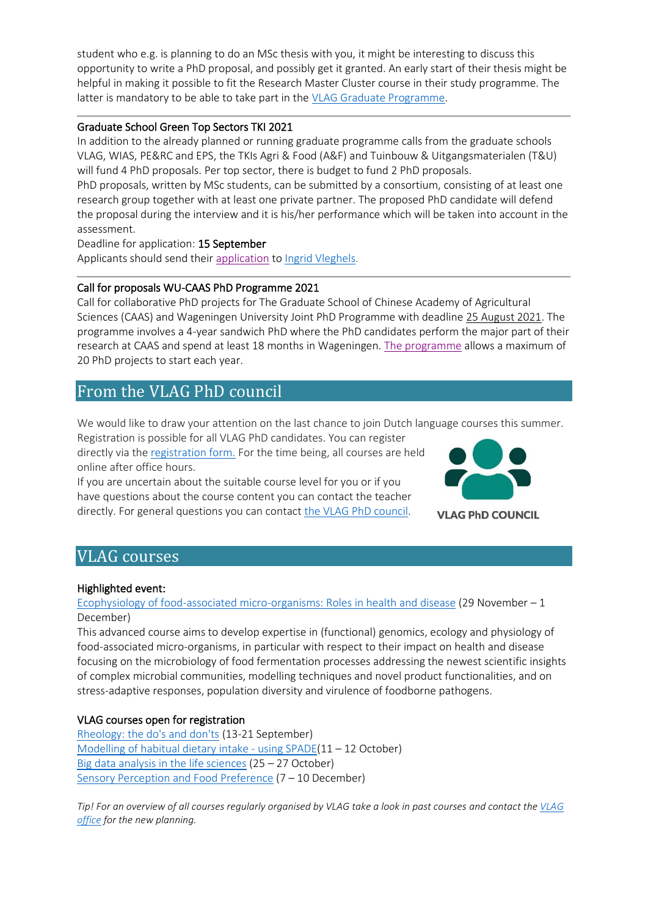student who e.g. is planning to do an MSc thesis with you, it might be interesting to discuss this opportunity to write a PhD proposal, and possibly get it granted. An early start of their thesis might be helpful in making it possible to fit the Research Master Cluster course in their study programme. The latter is mandatory to be able to take part in the [VLAG Graduate Programme.](https://www.vlaggraduateschool.nl/en/research-1/VLAG-Calls.htm)

## Graduate School Green Top Sectors TKI 2021

In addition to the already planned or running graduate programme calls from the graduate schools VLAG, WIAS, PE&RC and EPS, the TKIs Agri & Food (A&F) and Tuinbouw & Uitgangsmaterialen (T&U) will fund 4 PhD proposals. Per top sector, there is budget to fund 2 PhD proposals.

PhD proposals, written by MSc students, can be submitted by a consortium, consisting of at least one research group together with at least one private partner. The proposed PhD candidate will defend the proposal during the interview and it is his/her performance which will be taken into account in the assessment.

Deadline for application: 15 September Applicants should send thei[r application](https://redactie.vlaggraduateschool.nl/web/show/id=5642799/webid=5618465/mode=incontext/langid=43/contentid=583047) t[o Ingrid Vleghels.](mailto:Ingrid.Vleghels@wur.nl)

## Call for proposals WU-CAAS PhD Programme 2021

Call for collaborative PhD projects for The Graduate School of Chinese Academy of Agricultural Sciences (CAAS) and Wageningen University Joint PhD Programme with deadline 25 August 2021. The programme involves a 4-year sandwich PhD where the PhD candidates perform the major part of their research at CAAS and spend at least 18 months in Wageningen. [The programme](https://www.vlaggraduateschool.nl/web/file?uuid=1a788597-1821-467e-bb95-29ece9df919c&owner=79e05651-52e9-42a1-acd1-5dcb245ccd44&contentid=583046) allows a maximum of 20 PhD projects to start each year.

## <span id="page-2-0"></span>From the VLAG PhD council

We would like to draw your attention on the last chance to join Dutch language courses this summer.

Registration is possible for all VLAG PhD candidates. You can register directly via th[e registration form.](https://docs.google.com/forms/d/e/1FAIpQLSfYsAMnYpOnp8eNO3q190H2h07HH364Bky_GzWjJ4DY9o1WWg/viewform) For the time being, all courses are held online after office hours.

If you are uncertain about the suitable course level for you or if you have questions about the course content you can contact the teacher directly. For general questions you can contac[t the VLAG PhD council.](mailto:phdcouncil.vlag@wur.nl)



**VLAG PhD COUNCIL** 

## <span id="page-2-1"></span>VLAG courses

## Highlighted event:

[Ecophysiology of food-associated micro-organisms: Roles in health and disease](https://www.vlaggraduateschool.nl/en/courses/course/Eco21.htm) (29 November – 1 December)

This advanced course aims to develop expertise in (functional) genomics, ecology and physiology of food-associated micro-organisms, in particular with respect to their impact on health and disease focusing on the microbiology of food fermentation processes addressing the newest scientific insights of complex microbial communities, modelling techniques and novel product functionalities, and on stress-adaptive responses, population diversity and virulence of foodborne pathogens.

## VLAG courses open for registration

[Rheology: the do's and don'ts](https://www.vlaggraduateschool.nl/en/courses/course/Rheo21.htm) (13-21 September) [Modelling of habitual dietary intake -](https://www.vlaggraduateschool.nl/en/courses/course/MHDI21.htm) using SPADE(11 – 12 October) [Big data analysis in the life sciences](https://www.vlaggraduateschool.nl/en/courses/course/BDA21.htm) (25 – 27 October) [Sensory Perception and Food Preference](https://www.vlaggraduateschool.nl/en/courses/course/SENS21.htm) (7 – 10 December)

*Tip! For an overview of all courses regularly organised by VLAG take a look in past courses and contact the [VLAG](mailto:vlag@wur.nl)  [office](mailto:vlag@wur.nl) for the new planning.*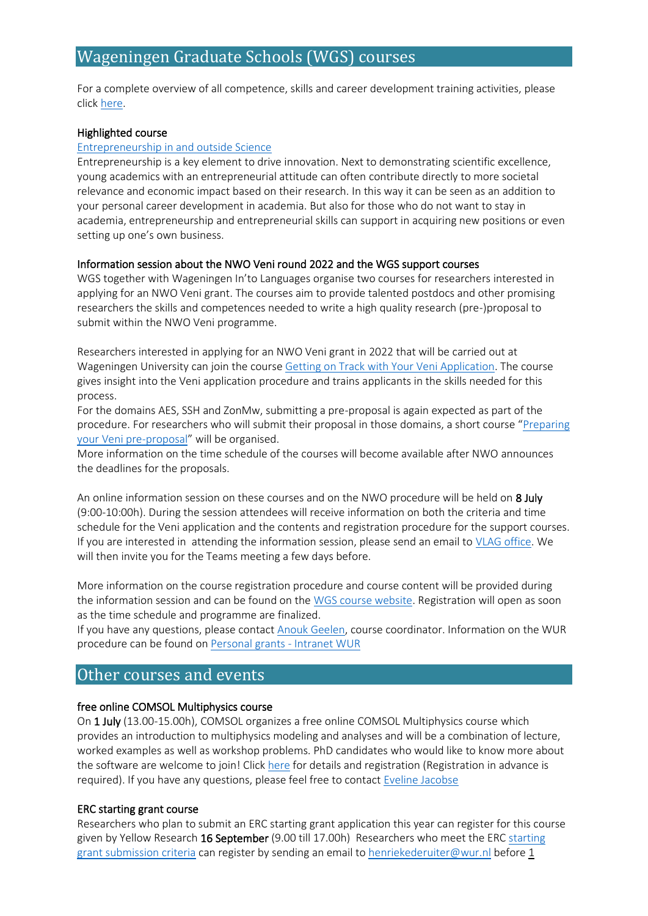# <span id="page-3-0"></span>Wageningen Graduate Schools (WGS) courses

For a complete overview of all competence, skills and career development training activities, please click [here.](https://eur03.safelinks.protection.outlook.com/?url=https%3A%2F%2Fwgs.crs.wur.nl%2F&data=04%7C01%7Cvlag%40wur.nl%7C8801fdaec24248612fb708d8dfd6fb8e%7C27d137e5761f4dc1af88d26430abb18f%7C0%7C0%7C637505461792122326%7CUnknown%7CTWFpbGZsb3d8eyJWIjoiMC4wLjAwMDAiLCJQIjoiV2luMzIiLCJBTiI6Ik1haWwiLCJXVCI6Mn0%3D%7C1000&sdata=hnF2puwRqZB3G4BfugCi%2BOBY%2Bc%2FUBPwmM9hvhAgqzNc%3D&reserved=0)

### Highlighted course

#### [Entrepreneurship in and outside Science](https://wgs.crs.wur.nl/courses/details/96)

Entrepreneurship is a key element to drive innovation. Next to demonstrating scientific excellence, young academics with an entrepreneurial attitude can often contribute directly to more societal relevance and economic impact based on their research. In this way it can be seen as an addition to your personal career development in academia. But also for those who do not want to stay in academia, entrepreneurship and entrepreneurial skills can support in acquiring new positions or even setting up one's own business.

### Information session about the NWO Veni round 2022 and the WGS support courses

WGS together with Wageningen In'to Languages organise two courses for researchers interested in applying for an NWO Veni grant. The courses aim to provide talented postdocs and other promising researchers the skills and competences needed to write a high quality research (pre-)proposal to submit within the NWO Veni programme.

Researchers interested in applying for an NWO Veni grant in 2022 that will be carried out at Wageningen University can join the course [Getting on Track with Your Veni Application.](https://wgs.crs.wur.nl/courses/details/113/) The course gives insight into the Veni application procedure and trains applicants in the skills needed for this process.

For the domains AES, SSH and ZonMw, submitting a pre-proposal is again expected as part of the procedure. For researchers who will submit their proposal in those domains, a short course "Preparing [your Veni pre-proposal](https://wgs.crs.wur.nl/courses/details/314/)" will be organised.

More information on the time schedule of the courses will become available after NWO announces the deadlines for the proposals.

An online information session on these courses and on the NWO procedure will be held on 8 July (9:00-10:00h). During the session attendees will receive information on both the criteria and time schedule for the Veni application and the contents and registration procedure for the support courses. If you are interested in attending the information session, please send an email to [VLAG office.](mailto:vlag@wur.nl) We will then invite you for the Teams meeting a few days before.

More information on the course registration procedure and course content will be provided during the information session and can be found on the [WGS course website.](https://wgs.crs.wur.nl/) Registration will open as soon as the time schedule and programme are finalized.

If you have any questions, please contac[t Anouk Geelen,](mailto:anouk.geelen@wur.nl) course coordinator. Information on the WUR procedure can be found o[n Personal grants -](https://intranet.wur.nl/umbraco/en/practical-information/research-support/personal-grants/) Intranet WUR

## <span id="page-3-1"></span>Other courses and events

### free online COMSOL Multiphysics course

On 1 July (13.00-15.00h), COMSOL organizes a free online COMSOL Multiphysics course which provides an introduction to multiphysics modeling and analyses and will be a combination of lecture, worked examples as well as workshop problems. PhD candidates who would like to know more about the software are welcome to join! Click [here](https://www.comsol.nl/events/training-course/comsol-multiphysics-free-introduction-course-94301?utm_source=4D&utm_campaign=Intro_WUR_jul21&utm_medium=Demail&utm_content=1) for details and registration (Registration in advance is required). If you have any questions, please feel free to contac[t Eveline Jacobse](mailto:eveline.jacobse@comsol.com)

### ERC starting grant course

Researchers who plan to submit an ERC starting grant application this year can register for this course given by Yellow Research 16 September (9.00 till 17.00h) Researchers who meet the ERC starting [grant submission criteria](https://erc.europa.eu/funding/starting-grants) can register by sending an email t[o henriekederuiter@wur.nl](mailto:henriekederuiter@wur.nl) before 1